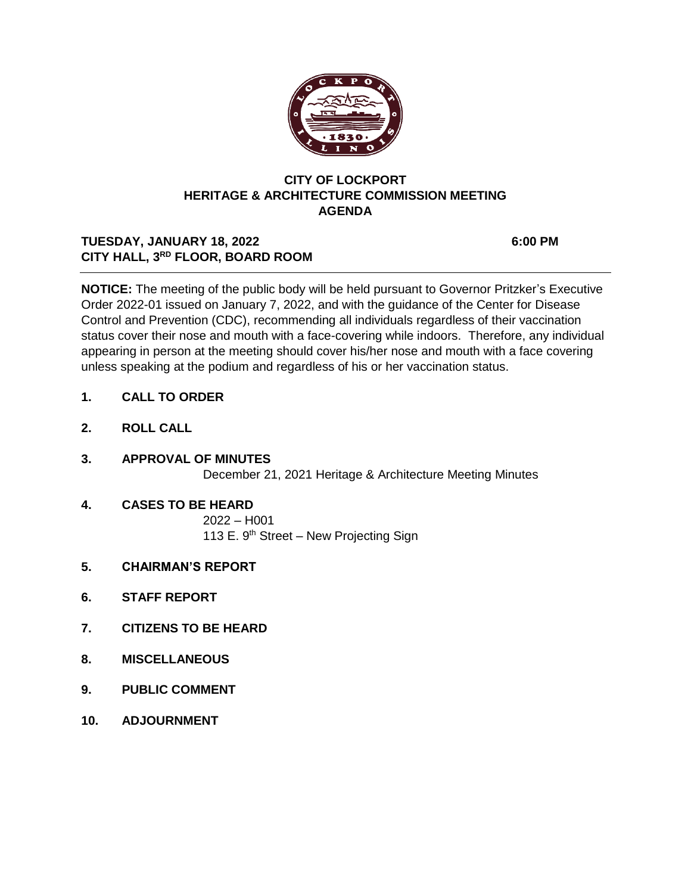

## **CITY OF LOCKPORT HERITAGE & ARCHITECTURE COMMISSION MEETING AGENDA**

# TUESDAY, JANUARY 18, 2022 6:00 PM **CITY HALL, 3RD FLOOR, BOARD ROOM**

**NOTICE:** The meeting of the public body will be held pursuant to Governor Pritzker's Executive Order 2022-01 issued on January 7, 2022, and with the guidance of the Center for Disease Control and Prevention (CDC), recommending all individuals regardless of their vaccination status cover their nose and mouth with a face-covering while indoors. Therefore, any individual appearing in person at the meeting should cover his/her nose and mouth with a face covering unless speaking at the podium and regardless of his or her vaccination status.

- **1. CALL TO ORDER**
- **2. ROLL CALL**
- **3. APPROVAL OF MINUTES** December 21, 2021 Heritage & Architecture Meeting Minutes
- **4. CASES TO BE HEARD** 2022 – H001 113 E.  $9<sup>th</sup>$  Street – New Projecting Sign
- **5. CHAIRMAN'S REPORT**
- **6. STAFF REPORT**
- **7. CITIZENS TO BE HEARD**
- **8. MISCELLANEOUS**
- **9. PUBLIC COMMENT**
- **10. ADJOURNMENT**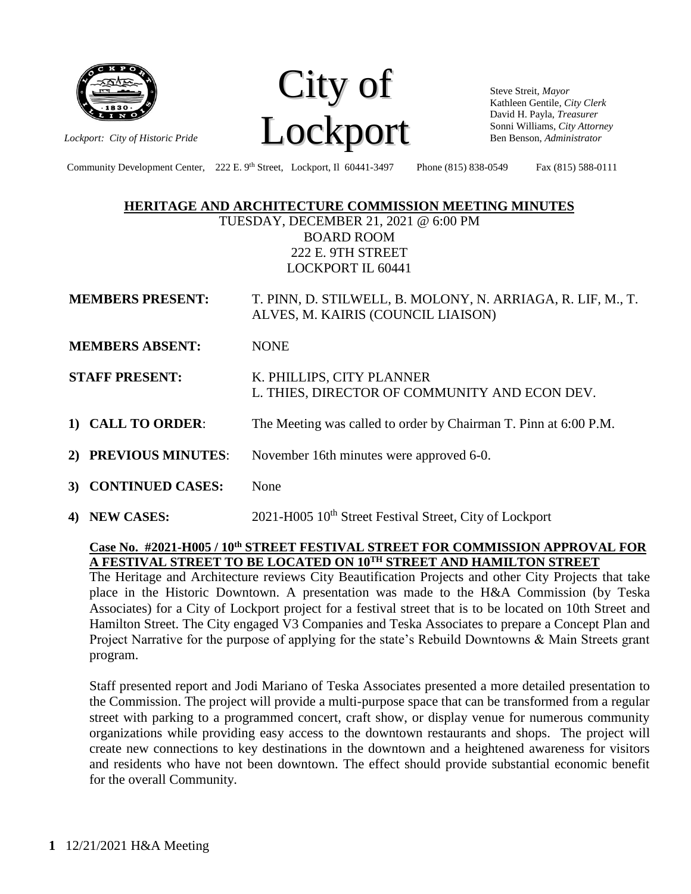

City of *Lockport: City of Historic Pride* **Lockport** 

Steve Streit, *Mayor* Kathleen Gentile, *City Clerk* David H. Payla, *Treasurer* Sonni Williams, *City Attorney* Ben Benson, *Administrator*

Community Development Center, 222 E. 9<sup>th</sup> Street, Lockport, Il 60441-3497 Phone (815) 838-0549 Fax (815) 588-0111

## **HERITAGE AND ARCHITECTURE COMMISSION MEETING MINUTES**

TUESDAY, DECEMBER 21, 2021 @ 6:00 PM BOARD ROOM 222 E. 9TH STREET LOCKPORT IL 60441

| <b>MEMBERS PRESENT:</b> | T. PINN, D. STILWELL, B. MOLONY, N. ARRIAGA, R. LIF, M., T. |
|-------------------------|-------------------------------------------------------------|
|                         | ALVES, M. KAIRIS (COUNCIL LIAISON)                          |

- **MEMBERS ABSENT: NONE**
- **STAFF PRESENT:** K. PHILLIPS, CITY PLANNER L. THIES, DIRECTOR OF COMMUNITY AND ECON DEV.
- **1) CALL TO ORDER**: The Meeting was called to order by Chairman T. Pinn at 6:00 P.M.
- **2) PREVIOUS MINUTES**: November 16th minutes were approved 6-0.
- **3) CONTINUED CASES:** None
- 4) **NEW CASES:** 2021-H005 10<sup>th</sup> Street Festival Street, City of Lockport

## **Case No. #2021-H005 / 10th STREET FESTIVAL STREET FOR COMMISSION APPROVAL FOR A FESTIVAL STREET TO BE LOCATED ON 10TH STREET AND HAMILTON STREET**

The Heritage and Architecture reviews City Beautification Projects and other City Projects that take place in the Historic Downtown. A presentation was made to the H&A Commission (by Teska Associates) for a City of Lockport project for a festival street that is to be located on 10th Street and Hamilton Street. The City engaged V3 Companies and Teska Associates to prepare a Concept Plan and Project Narrative for the purpose of applying for the state's Rebuild Downtowns & Main Streets grant program.

Staff presented report and Jodi Mariano of Teska Associates presented a more detailed presentation to the Commission. The project will provide a multi-purpose space that can be transformed from a regular street with parking to a programmed concert, craft show, or display venue for numerous community organizations while providing easy access to the downtown restaurants and shops. The project will create new connections to key destinations in the downtown and a heightened awareness for visitors and residents who have not been downtown. The effect should provide substantial economic benefit for the overall Community.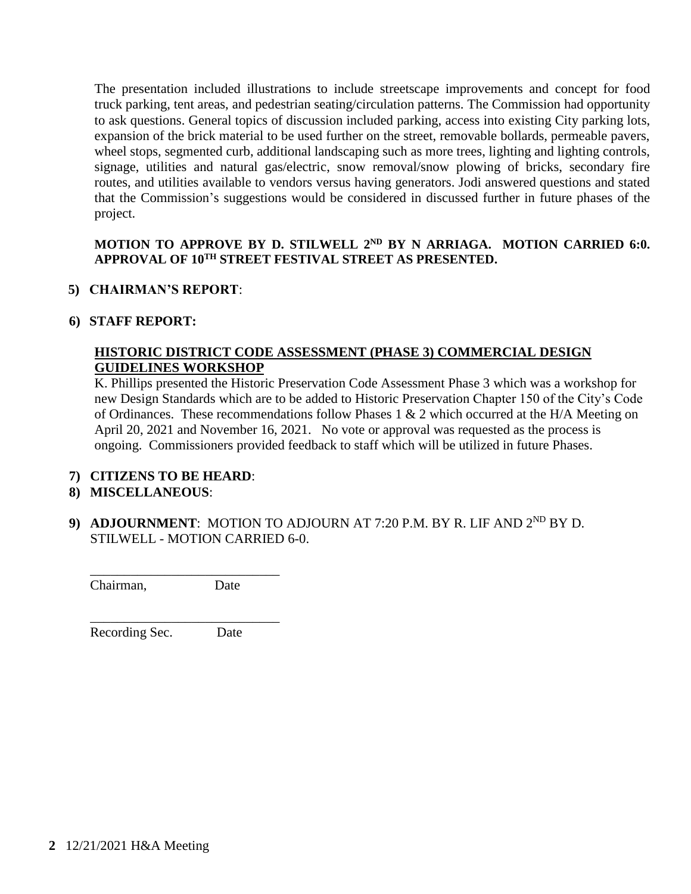The presentation included illustrations to include streetscape improvements and concept for food truck parking, tent areas, and pedestrian seating/circulation patterns. The Commission had opportunity to ask questions. General topics of discussion included parking, access into existing City parking lots, expansion of the brick material to be used further on the street, removable bollards, permeable pavers, wheel stops, segmented curb, additional landscaping such as more trees, lighting and lighting controls, signage, utilities and natural gas/electric, snow removal/snow plowing of bricks, secondary fire routes, and utilities available to vendors versus having generators. Jodi answered questions and stated that the Commission's suggestions would be considered in discussed further in future phases of the project.

# **MOTION TO APPROVE BY D. STILWELL 2ND BY N ARRIAGA. MOTION CARRIED 6:0. APPROVAL OF 10TH STREET FESTIVAL STREET AS PRESENTED.**

# **5) CHAIRMAN'S REPORT**:

# **6) STAFF REPORT:**

# **HISTORIC DISTRICT CODE ASSESSMENT (PHASE 3) COMMERCIAL DESIGN GUIDELINES WORKSHOP**

K. Phillips presented the Historic Preservation Code Assessment Phase 3 which was a workshop for new Design Standards which are to be added to Historic Preservation Chapter 150 of the City's Code of Ordinances. These recommendations follow Phases 1 & 2 which occurred at the H/A Meeting on April 20, 2021 and November 16, 2021. No vote or approval was requested as the process is ongoing. Commissioners provided feedback to staff which will be utilized in future Phases.

# **7) CITIZENS TO BE HEARD**:

# **8) MISCELLANEOUS**:

**9) ADJOURNMENT:** MOTION TO ADJOURN AT 7:20 P.M. BY R. LIF AND  $2^{ND}$  BY D. STILWELL - MOTION CARRIED 6-0.

Chairman, Date

Recording Sec. Date

\_\_\_\_\_\_\_\_\_\_\_\_\_\_\_\_\_\_\_\_\_\_\_\_\_\_\_\_

\_\_\_\_\_\_\_\_\_\_\_\_\_\_\_\_\_\_\_\_\_\_\_\_\_\_\_\_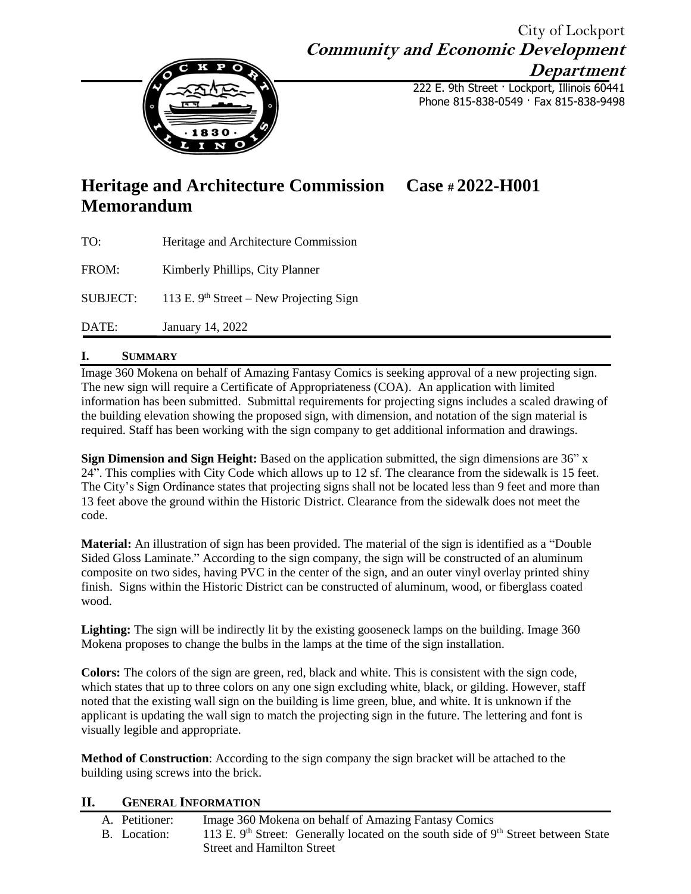# City of Lockport **Community and Economic Development**



222 E. 9th Street · Lockport, Illinois 60441 Phone 815-838-0549 · Fax 815-838-9498

**Department**

# **Heritage and Architecture Commission Case # 2022-H001 Memorandum**

| TO:             | Heritage and Architecture Commission      |
|-----------------|-------------------------------------------|
| FROM:           | Kimberly Phillips, City Planner           |
| <b>SUBJECT:</b> | 113 E. $9th Street - New Projecting Sign$ |
| DATE:           | January 14, 2022                          |

# **I. SUMMARY**

Image 360 Mokena on behalf of Amazing Fantasy Comics is seeking approval of a new projecting sign. The new sign will require a Certificate of Appropriateness (COA). An application with limited information has been submitted. Submittal requirements for projecting signs includes a scaled drawing of the building elevation showing the proposed sign, with dimension, and notation of the sign material is required. Staff has been working with the sign company to get additional information and drawings.

**Sign Dimension and Sign Height:** Based on the application submitted, the sign dimensions are 36" x 24". This complies with City Code which allows up to 12 sf. The clearance from the sidewalk is 15 feet. The City's Sign Ordinance states that projecting signs shall not be located less than 9 feet and more than 13 feet above the ground within the Historic District. Clearance from the sidewalk does not meet the code.

**Material:** An illustration of sign has been provided. The material of the sign is identified as a "Double Sided Gloss Laminate." According to the sign company, the sign will be constructed of an aluminum composite on two sides, having PVC in the center of the sign, and an outer vinyl overlay printed shiny finish. Signs within the Historic District can be constructed of aluminum, wood, or fiberglass coated wood.

**Lighting:** The sign will be indirectly lit by the existing gooseneck lamps on the building. Image 360 Mokena proposes to change the bulbs in the lamps at the time of the sign installation.

**Colors:** The colors of the sign are green, red, black and white. This is consistent with the sign code, which states that up to three colors on any one sign excluding white, black, or gilding. However, staff noted that the existing wall sign on the building is lime green, blue, and white. It is unknown if the applicant is updating the wall sign to match the projecting sign in the future. The lettering and font is visually legible and appropriate.

**Method of Construction**: According to the sign company the sign bracket will be attached to the building using screws into the brick.

### **II. GENERAL INFORMATION**

| A. Petitioner: | Image 360 Mokena on behalf of Amazing Fantasy Comics                                             |
|----------------|--------------------------------------------------------------------------------------------------|
| B. Location:   | 113 E. 9 <sup>th</sup> Street: Generally located on the south side of $9th$ Street between State |
|                | <b>Street and Hamilton Street</b>                                                                |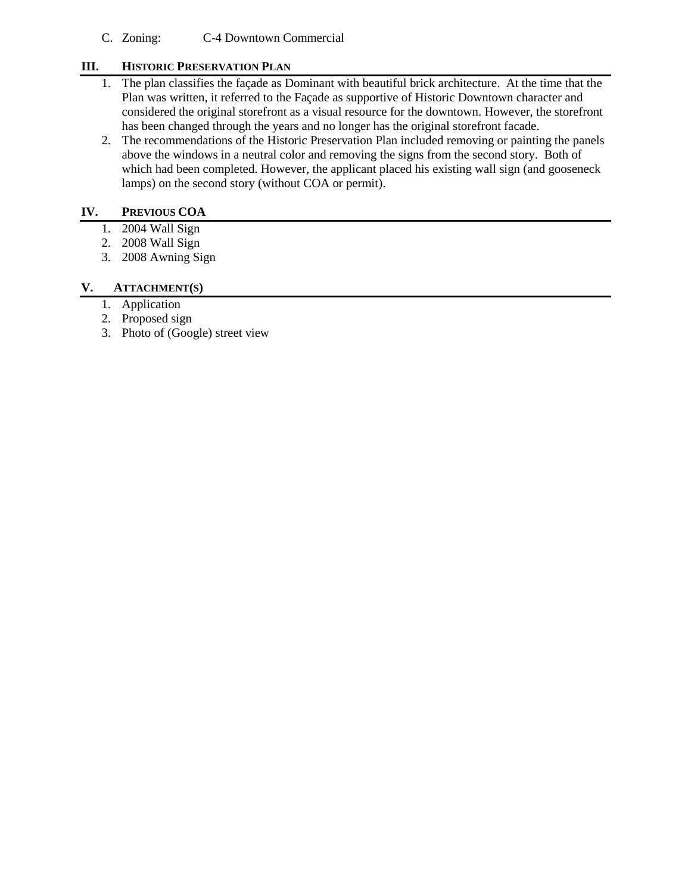C. Zoning: C-4 Downtown Commercial

## **III. HISTORIC PRESERVATION PLAN**

- 1. The plan classifies the façade as Dominant with beautiful brick architecture. At the time that the Plan was written, it referred to the Façade as supportive of Historic Downtown character and considered the original storefront as a visual resource for the downtown. However, the storefront has been changed through the years and no longer has the original storefront facade.
- 2. The recommendations of the Historic Preservation Plan included removing or painting the panels above the windows in a neutral color and removing the signs from the second story. Both of which had been completed. However, the applicant placed his existing wall sign (and gooseneck lamps) on the second story (without COA or permit).

### **IV. PREVIOUS COA**

- 1. 2004 Wall Sign
- 2. 2008 Wall Sign
- 3. 2008 Awning Sign

### **V. ATTACHMENT(S)**

- 1. Application
- 2. Proposed sign
- 3. Photo of (Google) street view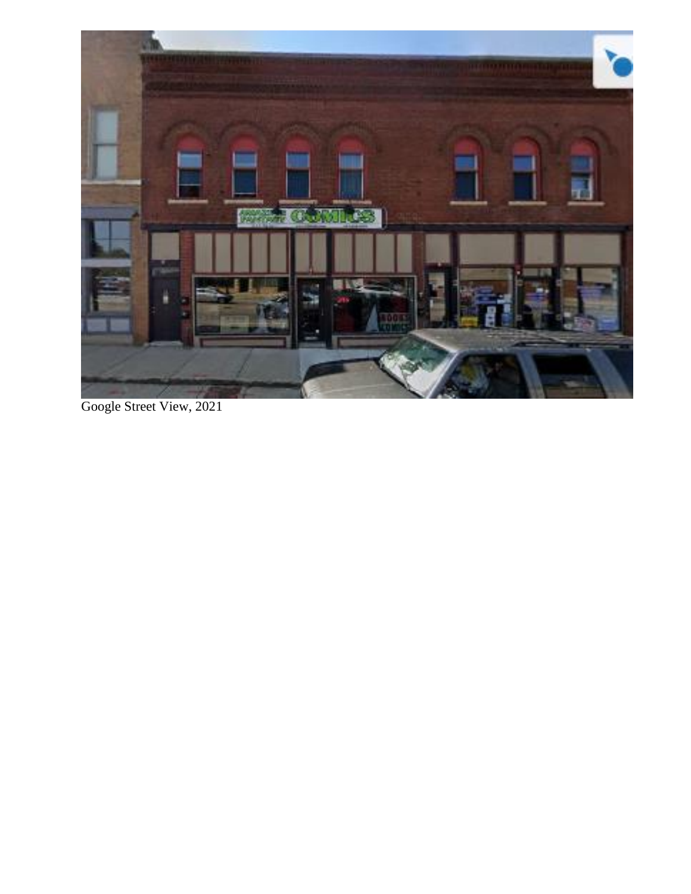

Google Street View, 2021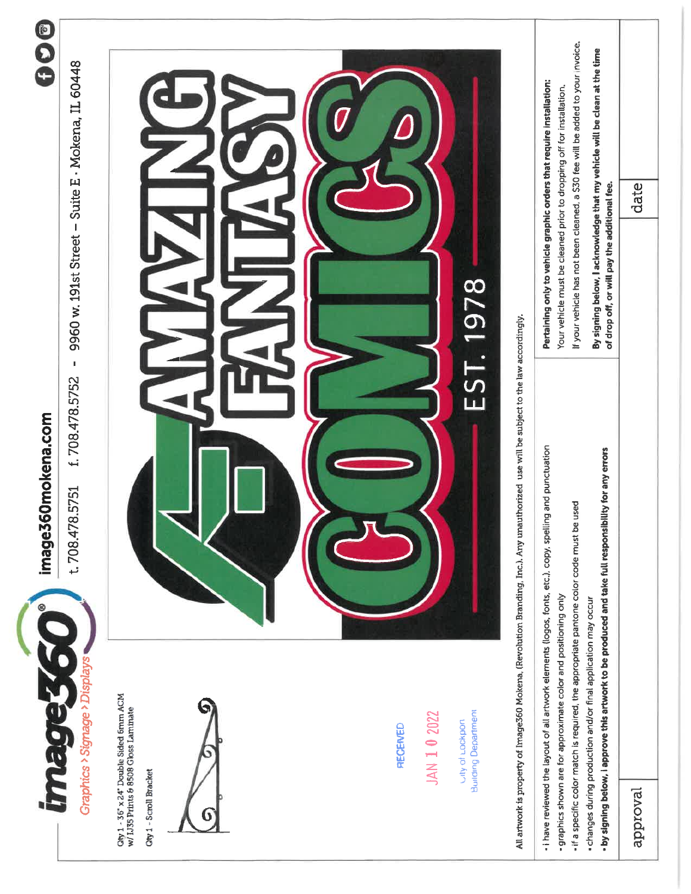

image360mokena.com

000

f. 708.478.5752 - 9960 w. 191st Street - Suite E · Mokena, IL 60448 t.708.478.5751

 $G$ by  $1 - 36^\circ$  x 24" Double Sided 6mm ACM<br>w/ 1J35 Prints 6 8508 Gloss Laminate

City 1 - Scroll Bracket



**RECEIVED** 

Utly of Lockpon<br>Building Department



All artwork is property of Image360 Mokena, (Revolution Branding, Inc.). Any unauthorized use will be subject to the law accordingly.

|          | - I have reviewed the layout of all artwork elements (logos, fonts, etc.), copy, spelling and punctuation                                                             |                                              | Pertaining only to vehicle graphic orders that require installation:            |
|----------|-----------------------------------------------------------------------------------------------------------------------------------------------------------------------|----------------------------------------------|---------------------------------------------------------------------------------|
|          | - graphics shown are for approximate color and positioning only                                                                                                       |                                              | Your vehicle must be cleaned prior to dropping off for installation.            |
|          | used<br>- if a specific color match is required, the appropriate pantone color code must be                                                                           |                                              | If your vehicle has not been cleaned, a \$30 fee will be added to your invoice, |
|          | - by signing below, i approve this artwork to be produced and take full responsibility for any errors<br>changes during production and/or final application may occur | of drop off, or will pay the additional fee. | By signing below, I acknowledge that my vehicle will be clean at the time       |
| approval |                                                                                                                                                                       |                                              | date                                                                            |
|          |                                                                                                                                                                       |                                              |                                                                                 |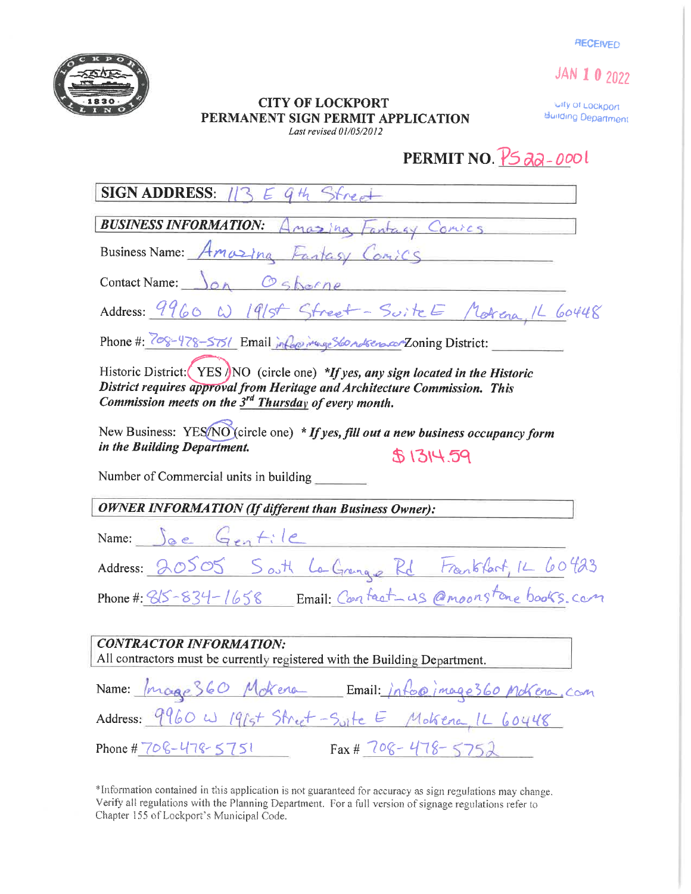**RECEIVED** 

JAN 1 0 2022



#### **CITY OF LOCKPORT** PERMANENT SIGN PERMIT APPLICATION Last revised 01/05/2012

City of Lockport Building Department

# PERMIT NO.  $\sqrt{5}$  ag - 000

**SIGN ADDRESS: 113**  $G H_1$  $\sqrt{2}$ 

**BUSINESS INFORMATION: 4** Ina Fantagy Comics

Business Name: Amozina Fantasy Conics

Osborne Contact Name:  $\bigcap_{\alpha}$ 

Address: 9960 W 1915 Street - Suite E Materia, 1L 60448

Phone #: 708-478-5751 Email information of Stondsers con Zoning District:

Historic District:  $(YES / NO$  (circle one) \*If yes, any sign located in the Historic District requires approval from Heritage and Architecture Commission. This Commission meets on the  $3<sup>rd</sup>$  Thursday of every month.

New Business: YES/NO (circle one) \* If yes, fill out a new business occupancy form in the Building Department.  $$1314.59$ 

Number of Commercial units in building

**OWNER INFORMATION (If different than Business Owner):** 

| Name: $\int_{0}^{1}e^{-(\frac{1}{2}+1)t}dt$                  |  |  |  |
|--------------------------------------------------------------|--|--|--|
| Address: 20505 South La Grange Rd Frankfast, 12 60423        |  |  |  |
| Phone #: 815-834-1658 Email: Contact as @moonstone books.com |  |  |  |

| <b>CONTRACTOR INFORMATION:</b>                                             |
|----------------------------------------------------------------------------|
| All contractors must be currently registered with the Building Department. |
| Name: Image 360 Mokera Email: info@image360 Mokera, com                    |
| Address: 9960 W 1964 Street-Suite E Molsena, 1L 60448                      |
| $Fax# 708 - 478 - 5752$<br>Phone # $706 - 478 - 5751$                      |

\*Information contained in this application is not guaranteed for accuracy as sign regulations may change. Verify all regulations with the Planning Department. For a full version of signage regulations refer to Chapter 155 of Lockport's Municipal Code.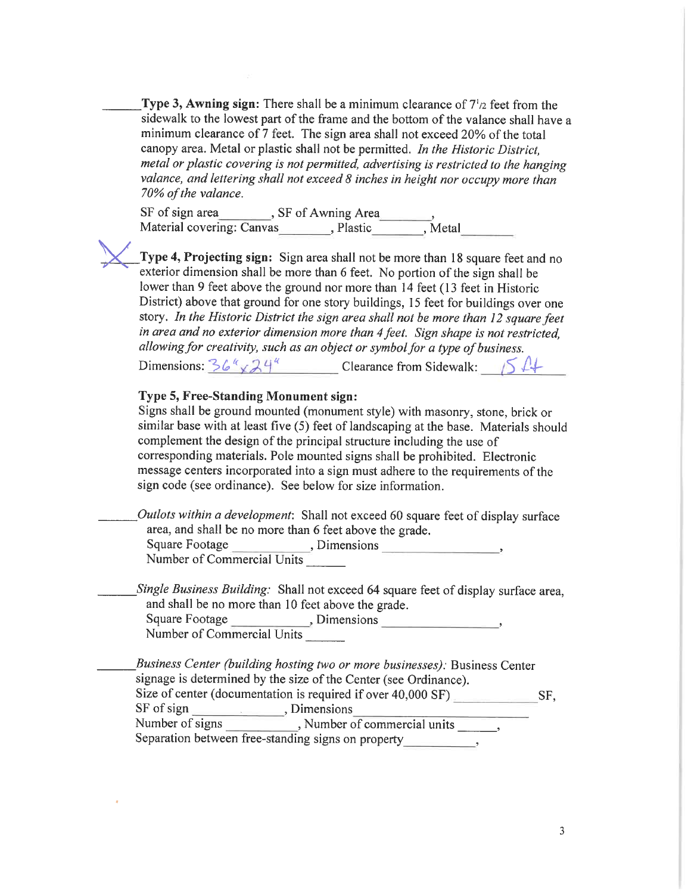Type 3, Awning sign: There shall be a minimum clearance of  $7\frac{1}{2}$  feet from the sidewalk to the lowest part of the frame and the bottom of the valance shall have a minimum clearance of 7 feet. The sign area shall not exceed 20% of the total canopy area. Metal or plastic shall not be permitted. In the Historic District, metal or plastic covering is not permitted, advertising is restricted to the hanging valance, and lettering shall not exceed 8 inches in height nor occupy more than 70% of the valance.

SF of sign area \_\_\_\_\_\_\_, SF of Awning Area \_\_\_\_\_\_,<br>Material covering: Canvas \_\_\_\_\_\_\_, Plastic \_\_\_\_\_\_, Metal

Type 4, Projecting sign: Sign area shall not be more than 18 square feet and no exterior dimension shall be more than 6 feet. No portion of the sign shall be lower than 9 feet above the ground nor more than 14 feet (13 feet in Historic District) above that ground for one story buildings, 15 feet for buildings over one story. In the Historic District the sign area shall not be more than 12 square feet in area and no exterior dimension more than 4 feet. Sign shape is not restricted. allowing for creativity, such as an object or symbol for a type of business.

Dimensions:  $36^{\prime\prime} \times 24^{\prime\prime}$  Clearance from Sidewalk: 54

### Type 5, Free-Standing Monument sign:

Signs shall be ground mounted (monument style) with masonry, stone, brick or similar base with at least five (5) feet of landscaping at the base. Materials should complement the design of the principal structure including the use of corresponding materials. Pole mounted signs shall be prohibited. Electronic message centers incorporated into a sign must adhere to the requirements of the sign code (see ordinance). See below for size information.

Outlots within a development: Shall not exceed 60 square feet of display surface area, and shall be no more than 6 feet above the grade.

Number of Commercial Units

Single Business Building: Shall not exceed 64 square feet of display surface area, and shall be no more than 10 feet above the grade.

Square Footage (Square Footage ), Dimensions Number of Commercial Units

Business Center (building hosting two or more businesses). Business Center signage is determined by the size of the Center (see Ordinance). Size of center (documentation is required if over 40,000 SF) SF. Number of signs Rumber of commercial units and set of commercial units and set of commercial units and set of commercial units and set of commercial units and set of commercial units and set of commercial units and set of